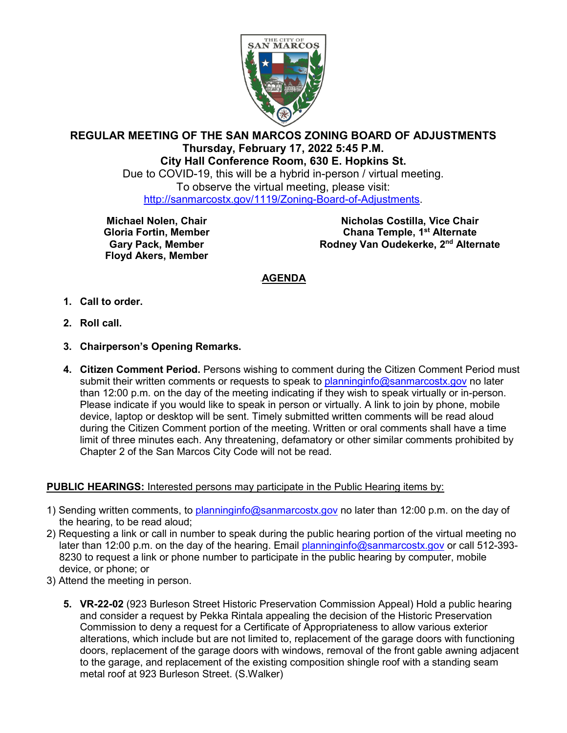

## **REGULAR MEETING OF THE SAN MARCOS ZONING BOARD OF ADJUSTMENTS Thursday, February 17, 2022 5:45 P.M. City Hall Conference Room, 630 E. Hopkins St.**

Due to COVID-19, this will be a hybrid in-person / virtual meeting. To observe the virtual meeting, please visit: [http://sanmarcostx.gov/1119/Zoning-Board-of-Adjustments.](http://sanmarcostx.gov/1119/Zoning-Board-of-Adjustments)

**Michael Nolen, Chair Gloria Fortin, Member Gary Pack, Member Floyd Akers, Member**

**Nicholas Costilla, Vice Chair Chana Temple, 1st Alternate Rodney Van Oudekerke, 2nd Alternate**

## <sup>U</sup>**AGENDA**

- **1. Call to order.**
- **2. Roll call.**
- **3. Chairperson's Opening Remarks.**
- **4. Citizen Comment Period.** Persons wishing to comment during the Citizen Comment Period must submit their written comments or requests to speak to [planninginfo@sanmarcostx.gov](mailto:planninginfo@sanmarcostx.gov) no later than 12:00 p.m. on the day of the meeting indicating if they wish to speak virtually or in-person. Please indicate if you would like to speak in person or virtually. A link to join by phone, mobile device, laptop or desktop will be sent. Timely submitted written comments will be read aloud during the Citizen Comment portion of the meeting. Written or oral comments shall have a time limit of three minutes each. Any threatening, defamatory or other similar comments prohibited by Chapter 2 of the San Marcos City Code will not be read.

## **PUBLIC HEARINGS:** Interested persons may participate in the Public Hearing items by:

- 1) Sending written comments, to [planninginfo@sanmarcostx.gov](mailto:planninginfo@sanmarcostx.gov) no later than 12:00 p.m. on the day of the hearing, to be read aloud;
- 2) Requesting a link or call in number to speak during the public hearing portion of the virtual meeting no later than 12:00 p.m. on the day of the hearing. Email [planninginfo@sanmarcostx.gov](mailto:planninginfo@sanmarcostx.gov) or call 512-393- 8230 to request a link or phone number to participate in the public hearing by computer, mobile device, or phone; or
- 3) Attend the meeting in person.
	- **5. VR-22-02** (923 Burleson Street Historic Preservation Commission Appeal) Hold a public hearing and consider a request by Pekka Rintala appealing the decision of the Historic Preservation Commission to deny a request for a Certificate of Appropriateness to allow various exterior alterations, which include but are not limited to, replacement of the garage doors with functioning doors, replacement of the garage doors with windows, removal of the front gable awning adjacent to the garage, and replacement of the existing composition shingle roof with a standing seam metal roof at 923 Burleson Street. (S.Walker)